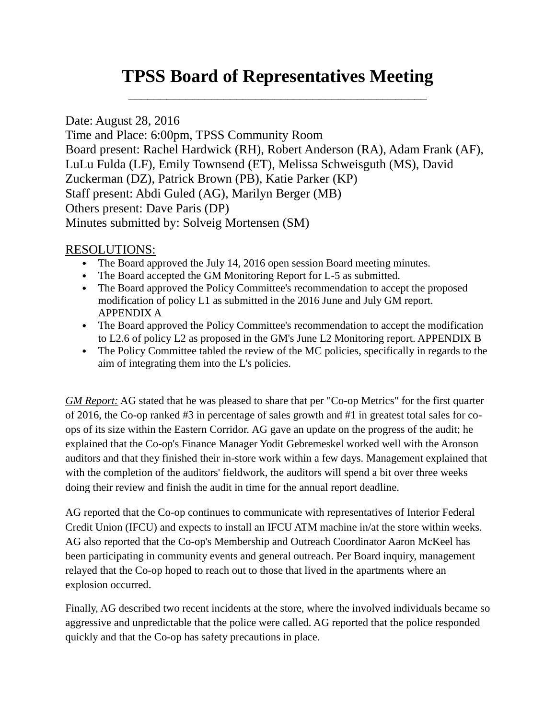# **TPSS Board of Representatives Meeting** \_\_\_\_\_\_\_\_\_\_\_\_\_\_\_\_\_\_\_\_\_\_\_\_\_\_\_\_\_\_\_\_\_\_\_\_\_\_\_\_\_\_\_\_\_\_\_

Date: August 28, 2016 Time and Place: 6:00pm, TPSS Community Room Board present: Rachel Hardwick (RH), Robert Anderson (RA), Adam Frank (AF), LuLu Fulda (LF), Emily Townsend (ET), Melissa Schweisguth (MS), David Zuckerman (DZ), Patrick Brown (PB), Katie Parker (KP) Staff present: Abdi Guled (AG), Marilyn Berger (MB) Others present: Dave Paris (DP) Minutes submitted by: Solveig Mortensen (SM)

## RESOLUTIONS:

- The Board approved the July 14, 2016 open session Board meeting minutes.
- The Board accepted the GM Monitoring Report for L-5 as submitted.
- The Board approved the Policy Committee's recommendation to accept the proposed modification of policy L1 as submitted in the 2016 June and July GM report. APPENDIX A
- The Board approved the Policy Committee's recommendation to accept the modification to L2.6 of policy L2 as proposed in the GM's June L2 Monitoring report. APPENDIX B
- The Policy Committee tabled the review of the MC policies, specifically in regards to the aim of integrating them into the L's policies.

*GM Report:* AG stated that he was pleased to share that per "Co-op Metrics" for the first quarter of 2016, the Co-op ranked #3 in percentage of sales growth and #1 in greatest total sales for coops of its size within the Eastern Corridor. AG gave an update on the progress of the audit; he explained that the Co-op's Finance Manager Yodit Gebremeskel worked well with the Aronson auditors and that they finished their in-store work within a few days. Management explained that with the completion of the auditors' fieldwork, the auditors will spend a bit over three weeks doing their review and finish the audit in time for the annual report deadline.

AG reported that the Co-op continues to communicate with representatives of Interior Federal Credit Union (IFCU) and expects to install an IFCU ATM machine in/at the store within weeks. AG also reported that the Co-op's Membership and Outreach Coordinator Aaron McKeel has been participating in community events and general outreach. Per Board inquiry, management relayed that the Co-op hoped to reach out to those that lived in the apartments where an explosion occurred.

Finally, AG described two recent incidents at the store, where the involved individuals became so aggressive and unpredictable that the police were called. AG reported that the police responded quickly and that the Co-op has safety precautions in place.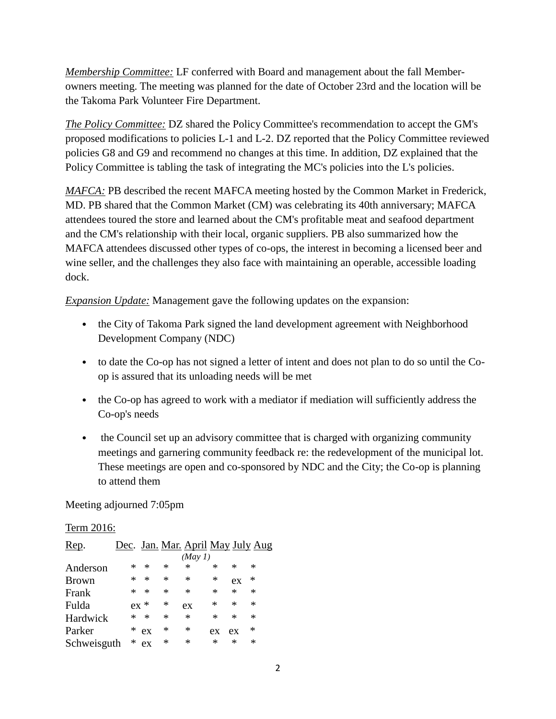*Membership Committee:* LF conferred with Board and management about the fall Memberowners meeting. The meeting was planned for the date of October 23rd and the location will be the Takoma Park Volunteer Fire Department.

*The Policy Committee:* DZ shared the Policy Committee's recommendation to accept the GM's proposed modifications to policies L-1 and L-2. DZ reported that the Policy Committee reviewed policies G8 and G9 and recommend no changes at this time. In addition, DZ explained that the Policy Committee is tabling the task of integrating the MC's policies into the L's policies.

*MAFCA:* PB described the recent MAFCA meeting hosted by the Common Market in Frederick, MD. PB shared that the Common Market (CM) was celebrating its 40th anniversary; MAFCA attendees toured the store and learned about the CM's profitable meat and seafood department and the CM's relationship with their local, organic suppliers. PB also summarized how the MAFCA attendees discussed other types of co-ops, the interest in becoming a licensed beer and wine seller, and the challenges they also face with maintaining an operable, accessible loading dock.

*Expansion Update:* Management gave the following updates on the expansion:

- the City of Takoma Park signed the land development agreement with Neighborhood Development Company (NDC)
- to date the Co-op has not signed a letter of intent and does not plan to do so until the Coop is assured that its unloading needs will be met
- the Co-op has agreed to work with a mediator if mediation will sufficiently address the Co-op's needs
- the Council set up an advisory committee that is charged with organizing community meetings and garnering community feedback re: the redevelopment of the municipal lot. These meetings are open and co-sponsored by NDC and the City; the Co-op is planning to attend them

Meeting adjourned 7:05pm

#### Term 2016:

| Rep.         | Dec. Jan. Mar. April May July Aug |        |        |         |        |        |        |
|--------------|-----------------------------------|--------|--------|---------|--------|--------|--------|
|              |                                   |        |        | (May 1) |        |        |        |
| Anderson     | *                                 | ∗      | ∗      | ∗       | ∗      | *      | *      |
| <b>Brown</b> | *                                 | $\ast$ | $\ast$ | ∗       | $\ast$ | ex     | *      |
| Frank        | *                                 | $\ast$ | *      | $\ast$  | ∗      | $\ast$ | $\ast$ |
| Fulda        | $ex *$                            |        | $\ast$ | ex      | *      | $\ast$ | $\ast$ |
| Hardwick     | *                                 | ∗      | ∗      | $\ast$  | $\ast$ | $\ast$ | $\ast$ |
| Parker       | *                                 | ex     | *      | ∗       | ex     | ex     | *      |
| Schweisguth  | $\ast$                            | ex     | *      | ∗       | *      | $\ast$ | ∗      |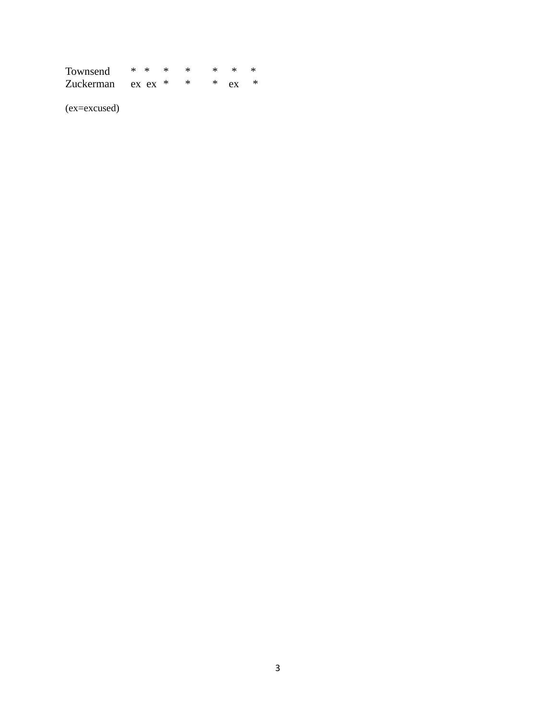| Townsend          | $*$ * |  | -*           |  |
|-------------------|-------|--|--------------|--|
| Zuckerman ex ex * |       |  | $*$ $ex$ $*$ |  |

(ex=excused)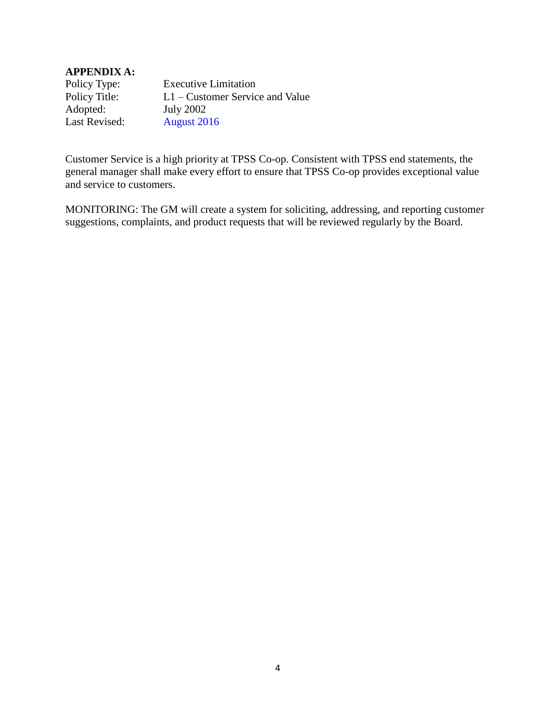#### **APPENDIX A:**

Policy Type: Executive Limitation Policy Title: L1 – Customer Service and Value Adopted: July 2002 Last Revised: August 2016

Customer Service is a high priority at TPSS Co-op. Consistent with TPSS end statements, the general manager shall make every effort to ensure that TPSS Co-op provides exceptional value and service to customers.

MONITORING: The GM will create a system for soliciting, addressing, and reporting customer suggestions, complaints, and product requests that will be reviewed regularly by the Board.